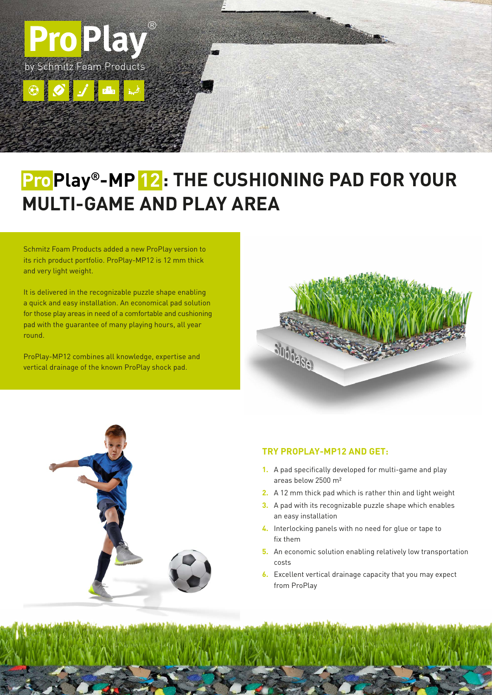

# $\blacksquare$  **ProPlay®-MP**  $\blacksquare$  **2**: THE CUSHIONING PAD FOR YOUR **MULTI-GAME AND PLAY AREA**

Schmitz Foam Products added a new ProPlay version to its rich product portfolio. ProPlay-MP12 is 12 mm thick and very light weight.

It is delivered in the recognizable puzzle shape enabling a quick and easy installation. An economical pad solution for those play areas in need of a comfortable and cushioning pad with the guarantee of many playing hours, all year round.

ProPlay-MP12 combines all knowledge, expertise and vertical drainage of the known ProPlay shock pad.





#### **TRY PROPLAY-MP12 AND GET:**

- **1.**  A pad specifically developed for multi-game and play areas below 2500 m²
- **2.**  A 12 mm thick pad which is rather thin and light weight
- **3.** A pad with its recognizable puzzle shape which enables an easy installation
- **4.**  Interlocking panels with no need for glue or tape to fix them
- **5.** An economic solution enabling relatively low transportation costs
- **6.** Excellent vertical drainage capacity that you may expect from ProPlay